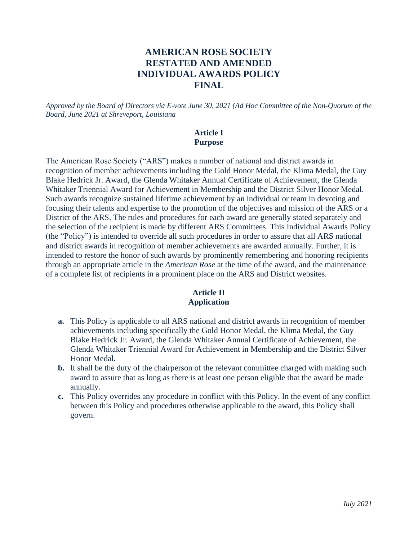# **AMERICAN ROSE SOCIETY RESTATED AND AMENDED INDIVIDUAL AWARDS POLICY FINAL**

*Approved by the Board of Directors via E-vote June 30, 2021 (Ad Hoc Committee of the Non-Quorum of the Board, June 2021 at Shreveport, Louisiana*

#### **Article I Purpose**

The American Rose Society ("ARS") makes a number of national and district awards in recognition of member achievements including the Gold Honor Medal, the Klima Medal, the Guy Blake Hedrick Jr. Award, the Glenda Whitaker Annual Certificate of Achievement, the Glenda Whitaker Triennial Award for Achievement in Membership and the District Silver Honor Medal. Such awards recognize sustained lifetime achievement by an individual or team in devoting and focusing their talents and expertise to the promotion of the objectives and mission of the ARS or a District of the ARS. The rules and procedures for each award are generally stated separately and the selection of the recipient is made by different ARS Committees. This Individual Awards Policy (the "Policy") is intended to override all such procedures in order to assure that all ARS national and district awards in recognition of member achievements are awarded annually. Further, it is intended to restore the honor of such awards by prominently remembering and honoring recipients through an appropriate article in the *American Rose* at the time of the award, and the maintenance of a complete list of recipients in a prominent place on the ARS and District websites.

## **Article II Application**

- **a.** This Policy is applicable to all ARS national and district awards in recognition of member achievements including specifically the Gold Honor Medal, the Klima Medal, the Guy Blake Hedrick Jr. Award, the Glenda Whitaker Annual Certificate of Achievement, the Glenda Whitaker Triennial Award for Achievement in Membership and the District Silver Honor Medal.
- **b.** It shall be the duty of the chairperson of the relevant committee charged with making such award to assure that as long as there is at least one person eligible that the award be made annually.
- **c.** This Policy overrides any procedure in conflict with this Policy. In the event of any conflict between this Policy and procedures otherwise applicable to the award, this Policy shall govern.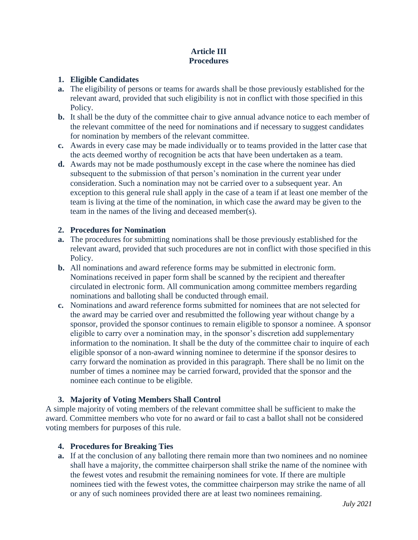# **Article III Procedures**

#### **1. Eligible Candidates**

- **a.** The eligibility of persons or teams for awards shall be those previously established for the relevant award, provided that such eligibility is not in conflict with those specified in this Policy.
- **b.** It shall be the duty of the committee chair to give annual advance notice to each member of the relevant committee of the need for nominations and if necessary to suggest candidates for nomination by members of the relevant committee.
- **c.** Awards in every case may be made individually or to teams provided in the latter case that the acts deemed worthy of recognition be acts that have been undertaken as a team.
- **d.** Awards may not be made posthumously except in the case where the nominee has died subsequent to the submission of that person's nomination in the current year under consideration. Such a nomination may not be carried over to a subsequent year. An exception to this general rule shall apply in the case of a team if at least one member of the team is living at the time of the nomination, in which case the award may be given to the team in the names of the living and deceased member(s).

### **2. Procedures for Nomination**

- **a.** The procedures for submitting nominations shall be those previously established for the relevant award, provided that such procedures are not in conflict with those specified in this Policy.
- **b.** All nominations and award reference forms may be submitted in electronic form. Nominations received in paper form shall be scanned by the recipient and thereafter circulated in electronic form. All communication among committee members regarding nominations and balloting shall be conducted through email.
- **c.** Nominations and award reference forms submitted for nominees that are not selected for the award may be carried over and resubmitted the following year without change by a sponsor, provided the sponsor continues to remain eligible to sponsor a nominee. A sponsor eligible to carry over a nomination may, in the sponsor's discretion add supplementary information to the nomination. It shall be the duty of the committee chair to inquire of each eligible sponsor of a non-award winning nominee to determine if the sponsor desires to carry forward the nomination as provided in this paragraph. There shall be no limit on the number of times a nominee may be carried forward, provided that the sponsor and the nominee each continue to be eligible.

## **3. Majority of Voting Members Shall Control**

A simple majority of voting members of the relevant committee shall be sufficient to make the award. Committee members who vote for no award or fail to cast a ballot shall not be considered voting members for purposes of this rule.

## **4. Procedures for Breaking Ties**

**a.** If at the conclusion of any balloting there remain more than two nominees and no nominee shall have a majority, the committee chairperson shall strike the name of the nominee with the fewest votes and resubmit the remaining nominees for vote. If there are multiple nominees tied with the fewest votes, the committee chairperson may strike the name of all or any of such nominees provided there are at least two nominees remaining.